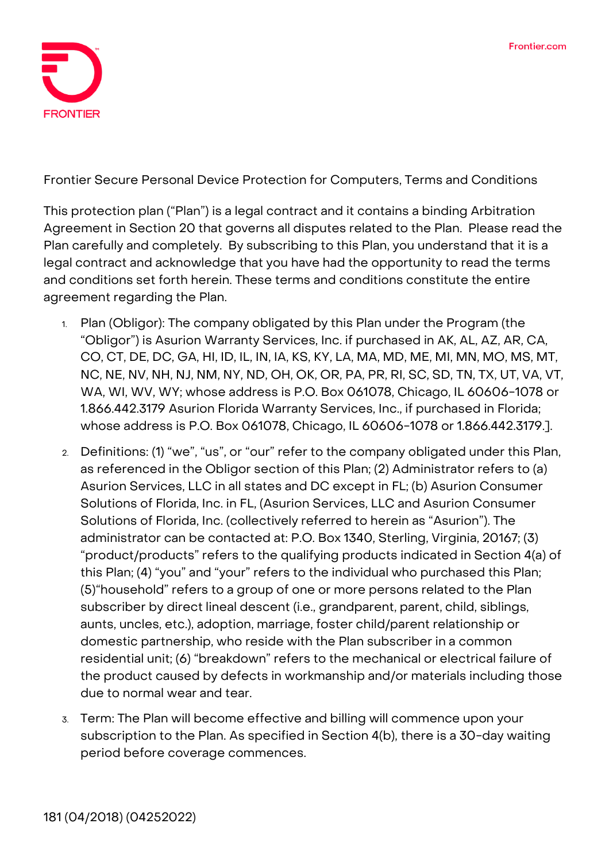

**Frontier Secure Personal Device Protection for Computers, Terms and Conditions**

This protection plan ("Plan") is a legal contract and it contains a binding Arbitration Agreement in Section 20 that governs all disputes related to the Plan. Please read the Plan carefully and completely. By subscribing to this Plan, you understand that it is a legal contract and acknowledge that you have had the opportunity to read the terms and conditions set forth herein. These terms and conditions constitute the entire agreement regarding the Plan.

- 1. **Plan (Obligor):** The company obligated by this Plan under the Program (the "Obligor") is Asurion Warranty Services, Inc. if purchased in AK, AL, AZ, AR, CA, CO, CT, DE, DC, GA, HI, ID, IL, IN, IA, KS, KY, LA, MA, MD, ME, MI, MN, MO, MS, MT, NC, NE, NV, NH, NJ, NM, NY, ND, OH, OK, OR, PA, PR, RI, SC, SD, TN, TX, UT, VA, VT, WA, WI, WV, WY; whose address is P.O. Box 061078, Chicago, IL 60606-1078 or 1.866.442.3179 Asurion Florida Warranty Services, Inc., if purchased in Florida; whose address is P.O. Box 061078, Chicago, IL 60606-1078 or 1.866.442.3179.].
- 2. **Definitions:** (1) "we", "us", or "our" refer to the company obligated under this Plan, as referenced in the Obligor section of this Plan; (2) Administrator refers to (a) Asurion Services, LLC in all states and DC except in FL; (b) Asurion Consumer Solutions of Florida, Inc. in FL, (Asurion Services, LLC and Asurion Consumer Solutions of Florida, Inc. (collectively referred to herein as "Asurion"). The administrator can be contacted at: P.O. Box 1340, Sterling, Virginia, 20167; (3) "product/products" refers to the qualifying products indicated in Section 4(a) of this Plan; (4) "you" and "your" refers to the individual who purchased this Plan; (5)"household" refers to a group of one or more persons related to the Plan subscriber by direct lineal descent (i.e., grandparent, parent, child, siblings, aunts, uncles, etc.), adoption, marriage, foster child/parent relationship or domestic partnership, who reside with the Plan subscriber in a common residential unit; (6) "breakdown" refers to the mechanical or electrical failure of the product caused by defects in workmanship and/or materials including those due to normal wear and tear.
- 3. **Term:** The Plan will become effective and billing will commence upon your subscription to the Plan. **As specified in Section 4(b), there is a 30-day waiting period before coverage commences.**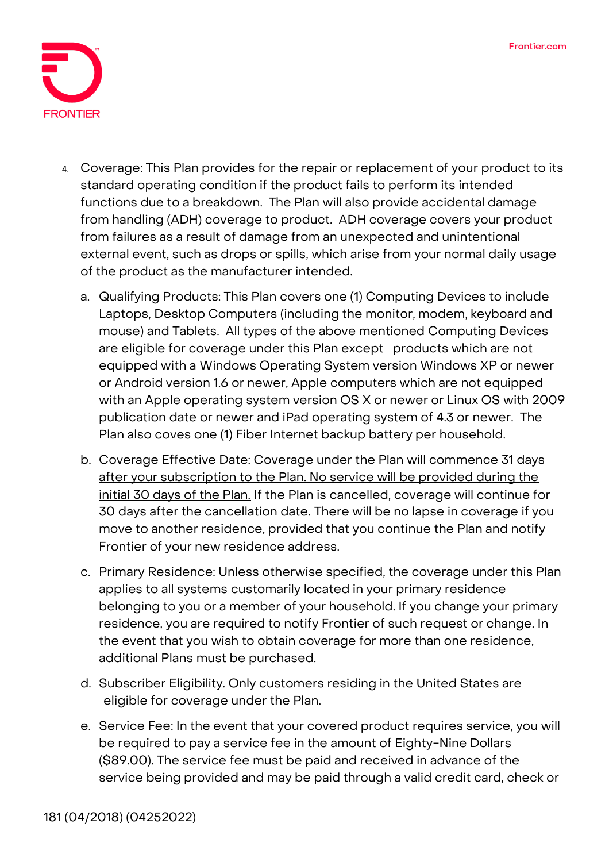

- 4. **Coverage:** This Plan provides for the repair or replacement of your product to its standard operating condition if the product fails to perform its intended functions due to a breakdown. The Plan will also provide accidental damage from handling (ADH) coverage to product. ADH coverage covers your product from failures as a result of damage from an unexpected and unintentional external event, such as drops or spills, which arise from your normal daily usage of the product as the manufacturer intended.
	- a. Qualifying Products: This Plan covers one (1) Computing Devices to include Laptops, Desktop Computers (including the monitor, modem, keyboard and mouse) and Tablets. All types of the above mentioned Computing Devices are eligible for coverage under this Plan except products which are not equipped with a Windows Operating System version Windows XP or newer or Android version 1.6 or newer, Apple computers which are not equipped with an Apple operating system version OS X or newer or Linux OS with 2009 publication date or newer and iPad operating system of 4.3 or newer. The Plan also coves one (1) Fiber Internet backup battery per household.
	- b. Coverage Effective Date: **Coverage under the Plan will commence 31 days after your subscription to the Plan. No service will be provided during the initial 30 days of the Plan. If the Plan is cancelled, coverage will continue for 30 days after the cancellation date.** There will be no lapse in coverage if you move to another residence, provided that you continue the Plan and notify Frontier of your new residence address.
	- c. Primary Residence: Unless otherwise specified, the coverage under this Plan applies to all systems customarily located in your primary residence belonging to you or a member of your household. If you change your primary residence, you are required to notify Frontier of such request or change. In the event that you wish to obtain coverage for more than one residence, additional Plans must be purchased.
	- d. Subscriber Eligibility. Only customers residing in the United States are eligible for coverage under the Plan.
	- e. Service Fee: In the event that your covered product requires service, you will be required to pay a service fee in the amount of Eighty-Nine Dollars (\$89.00). The service fee must be paid and received in advance of the service being provided and may be paid through a valid credit card, check or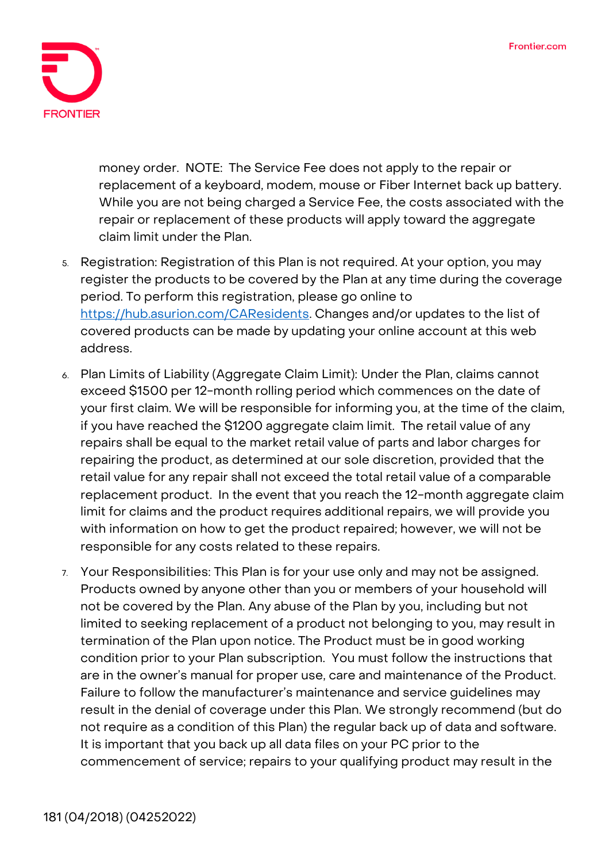

money order. NOTE: The Service Fee does not apply to the repair or replacement of a keyboard, modem, mouse or Fiber Internet back up battery. While you are not being charged a Service Fee, the costs associated with the repair or replacement of these products will apply toward the aggregate claim limit under the Plan.

- 5. **Registration:** Registration of this Plan is not required. At your option, you may register the products to be covered by the Plan at any time during the coverage period. To perform this registration, please go online to [https://hub.asurion.com/CAResidents.](https://hub.asurion.com/CAResidents) Changes and/or updates to the list of covered products can be made by updating your online account at this web address.
- 6. **Plan Limits of Liability (Aggregate Claim Limit):** Under the Plan, claims cannot exceed \$1500 per 12-month rolling period which commences on the date of your first claim. We will be responsible for informing you, at the time of the claim, if you have reached the \$1200 aggregate claim limit. The retail value of any repairs shall be equal to the market retail value of parts and labor charges for repairing the product, as determined at our sole discretion, provided that the retail value for any repair shall not exceed the total retail value of a comparable replacement product. In the event that you reach the 12-month aggregate claim limit for claims and the product requires additional repairs, we will provide you with information on how to get the product repaired; however, we will not be responsible for any costs related to these repairs.
- 7. **Your Responsibilities:** This Plan is for your use only and may not be assigned. Products owned by anyone other than you or members of your household will not be covered by the Plan. Any abuse of the Plan by you, including but not limited to seeking replacement of a product not belonging to you, may result in termination of the Plan upon notice. The Product must be in good working condition prior to your Plan subscription. You must follow the instructions that are in the owner's manual for proper use, care and maintenance of the Product. Failure to follow the manufacturer's maintenance and service guidelines may result in the denial of coverage under this Plan. We strongly recommend (but do not require as a condition of this Plan) the regular back up of data and software. It is important that you back up all data files on your PC prior to the commencement of service; repairs to your qualifying product may result in the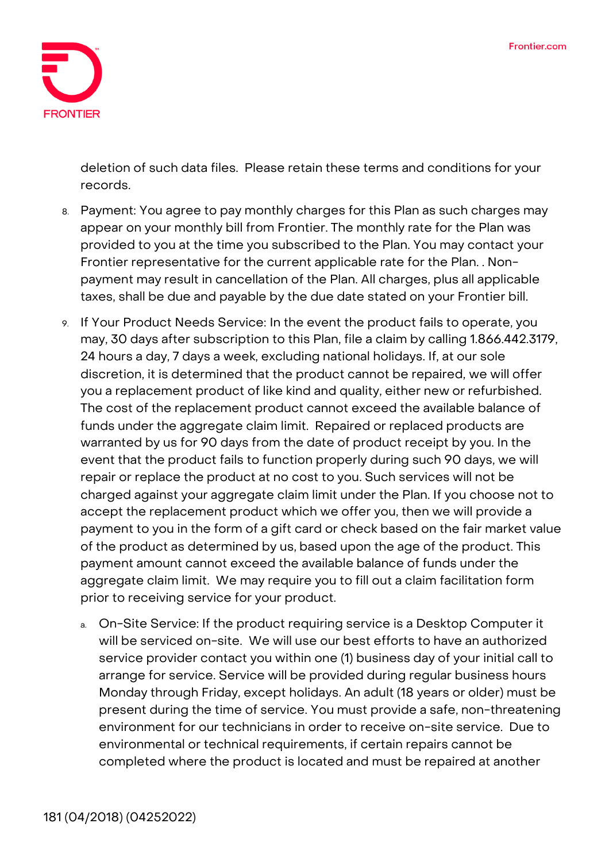

deletion of such data files. Please retain these terms and conditions for your records.

- 8. **Payment:** You agree to pay monthly charges for this Plan as such charges may appear on your monthly bill from Frontier. The monthly rate for the Plan was provided to you at the time you subscribed to the Plan. You may contact your Frontier representative for the current applicable rate for the Plan. . Nonpayment may result in cancellation of the Plan. All charges, plus all applicable taxes, shall be due and payable by the due date stated on your Frontier bill.
- 9. **If Your Product Needs Service:** In the event the product fails to operate, you may, 30 days after subscription to this Plan, file a claim by calling 1.866.442.3179, 24 hours a day, 7 days a week, excluding national holidays. If, at our sole discretion, it is determined that the product cannot be repaired, we will offer you a replacement product of like kind and quality, either new or refurbished. The cost of the replacement product cannot exceed the available balance of funds under the aggregate claim limit. Repaired or replaced products are warranted by us for 90 days from the date of product receipt by you. In the event that the product fails to function properly during such 90 days, we will repair or replace the product at no cost to you. Such services will not be charged against your aggregate claim limit under the Plan. If you choose not to accept the replacement product which we offer you, then we will provide a payment to you in the form of a gift card or check based on the fair market value of the product as determined by us, based upon the age of the product. This payment amount cannot exceed the available balance of funds under the aggregate claim limit. We may require you to fill out a claim facilitation form prior to receiving service for your product.
	- a. On-Site Service: If the product requiring service is a Desktop Computer it will be serviced on-site. We will use our best efforts to have an authorized service provider contact you within one (1) business day of your initial call to arrange for service. Service will be provided during regular business hours Monday through Friday, except holidays. An adult (18 years or older) must be present during the time of service. You must provide a safe, non-threatening environment for our technicians in order to receive on-site service. Due to environmental or technical requirements, if certain repairs cannot be completed where the product is located and must be repaired at another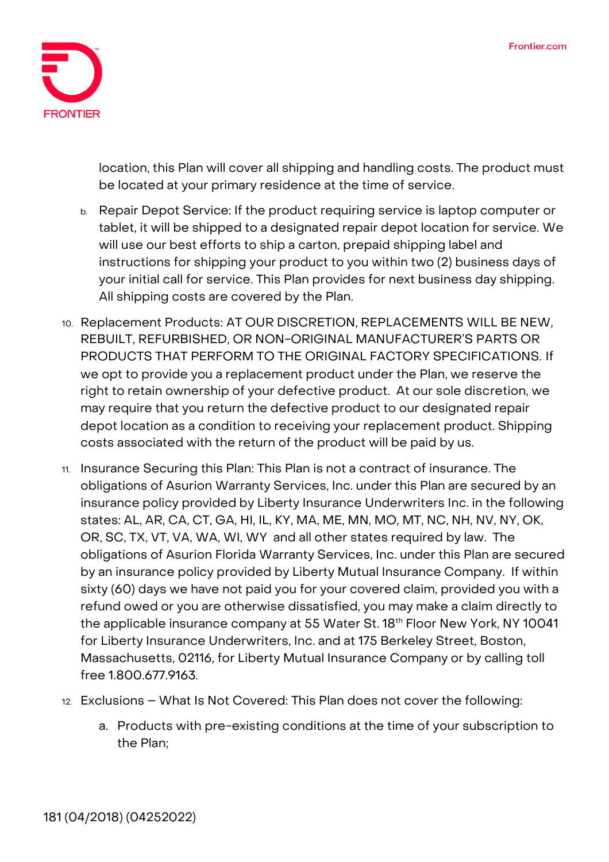

location, this Plan will cover all shipping and handling costs. The product must be located at your primary residence at the time of service.

- b. Repair Depot Service: If the product requiring service is laptop computer or tablet, it will be shipped to a designated repair depot location for service. We will use our best efforts to ship a carton, prepaid shipping label and instructions for shipping your product to you within two (2) business days of your initial call for service. This Plan provides for next business day shipping. All shipping costs are covered by the Plan.
- 10. **Replacement Products: AT OUR DISCRETION, REPLACEMENTS WILL BE NEW, REBUILT, REFURBISHED, OR NON-ORIGINAL MANUFACTURER'S PARTS OR PRODUCTS THAT PERFORM TO THE ORIGINAL FACTORY SPECIFICATIONS.** If we opt to provide you a replacement product under the Plan, we reserve the right to retain ownership of your defective product. At our sole discretion, we may require that you return the defective product to our designated repair depot location as a condition to receiving your replacement product. Shipping costs associated with the return of the product will be paid by us.
- 11. **Insurance Securing this Plan:** This Plan is not a contract of insurance. The obligations of Asurion Warranty Services, Inc. under this Plan are secured by an insurance policy provided by Liberty Insurance Underwriters Inc. in the following states: AL, AR, CA, CT, GA, HI, IL, KY, MA, ME, MN, MO, MT, NC, NH, NV, NY, OK, OR, SC, TX, VT, VA, WA, WI, WY and all other states required by law. The obligations of Asurion Florida Warranty Services, Inc. under this Plan are secured by an insurance policy provided by Liberty Mutual Insurance Company. If within sixty (60) days we have not paid you for your covered claim, provided you with a refund owed or you are otherwise dissatisfied, you may make a claim directly to the applicable insurance company at 55 Water St. 18<sup>th</sup> Floor New York, NY 10041 for Liberty Insurance Underwriters, Inc. and at 175 Berkeley Street, Boston, Massachusetts, 02116, for Liberty Mutual Insurance Company or by calling toll free 1.800.677.9163.
- 12. **Exclusions – What Is Not Covered:** This Plan does not cover the following:
	- a. Products with pre-existing conditions at the time of your subscription to the Plan;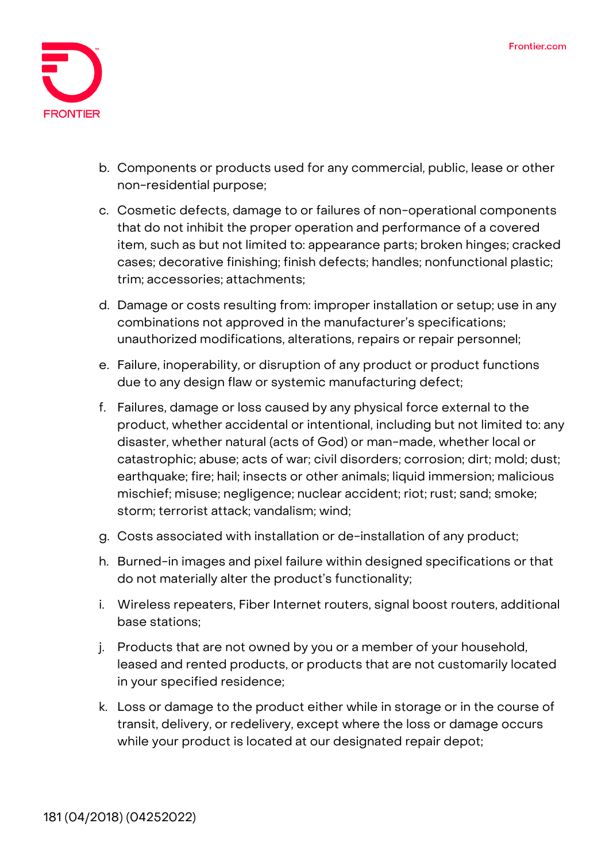

- b. Components or products used for any commercial, public, lease or other non-residential purpose;
- c. Cosmetic defects, damage to or failures of non-operational components that do not inhibit the proper operation and performance of a covered item, such as but not limited to: appearance parts; broken hinges; cracked cases; decorative finishing; finish defects; handles; nonfunctional plastic; trim; accessories; attachments;
- d. Damage or costs resulting from: improper installation or setup; use in any combinations not approved in the manufacturer's specifications; unauthorized modifications, alterations, repairs or repair personnel;
- e. Failure, inoperability, or disruption of any product or product functions due to any design flaw or systemic manufacturing defect;
- f. Failures, damage or loss caused by any physical force external to the product, whether accidental or intentional, including but not limited to: any disaster, whether natural (acts of God) or man-made, whether local or catastrophic; abuse; acts of war; civil disorders; corrosion; dirt; mold; dust; earthquake; fire; hail; insects or other animals; liquid immersion; malicious mischief; misuse; negligence; nuclear accident; riot; rust; sand; smoke; storm; terrorist attack; vandalism; wind;
- g. Costs associated with installation or de-installation of any product;
- h. Burned-in images and pixel failure within designed specifications or that do not materially alter the product's functionality;
- i. Wireless repeaters, Fiber Internet routers, signal boost routers, additional base stations;
- j. Products that are not owned by you or a member of your household, leased and rented products, or products that are not customarily located in your specified residence;
- k. Loss or damage to the product either while in storage or in the course of transit, delivery, or redelivery, except where the loss or damage occurs while your product is located at our designated repair depot;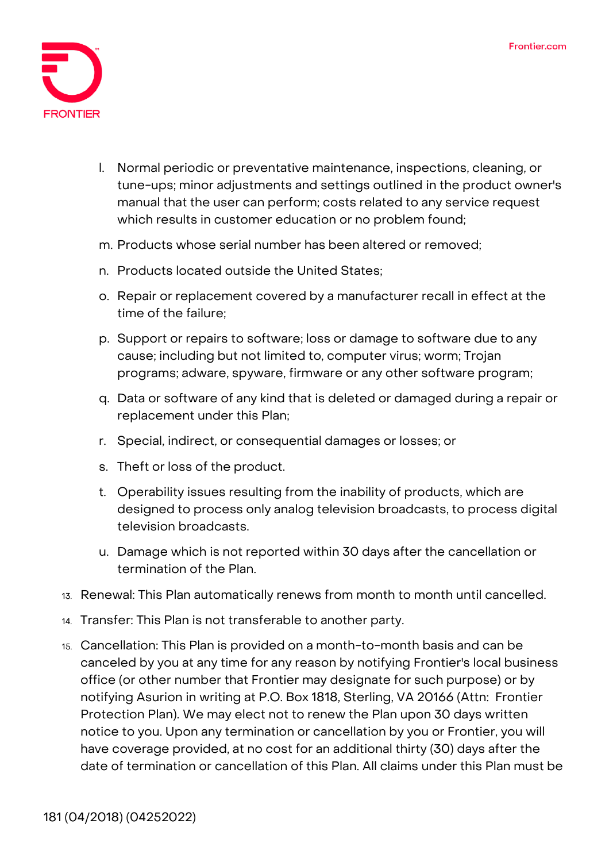

- l. Normal periodic or preventative maintenance, inspections, cleaning, or tune-ups; minor adjustments and settings outlined in the product owner's manual that the user can perform; costs related to any service request which results in customer education or no problem found;
- m. Products whose serial number has been altered or removed;
- n. Products located outside the United States;
- o. Repair or replacement covered by a manufacturer recall in effect at the time of the failure;
- p. Support or repairs to software; loss or damage to software due to any cause; including but not limited to, computer virus; worm; Trojan programs; adware, spyware, firmware or any other software program;
- q. Data or software of any kind that is deleted or damaged during a repair or replacement under this Plan;
- r. Special, indirect, or consequential damages or losses; or
- s. Theft or loss of the product.
- t. Operability issues resulting from the inability of products, which are designed to process only analog television broadcasts, to process digital television broadcasts.
- u. Damage which is not reported within 30 days after the cancellation or termination of the Plan.
- 13. **Renewal:** This Plan automatically renews from month to month until cancelled.
- 14. **Transfer:** This Plan is not transferable to another party.
- 15. **Cancellation:** This Plan is provided on a month-to-month basis and can be canceled by you at any time for any reason by notifying Frontier's local business office (or other number that Frontier may designate for such purpose) or by notifying Asurion in writing at P.O. Box 1818, Sterling, VA 20166 (Attn: Frontier Protection Plan). We may elect not to renew the Plan upon 30 days written notice to you. Upon any termination or cancellation by you or Frontier, you will have coverage provided, at no cost for an additional thirty (30) days after the date of termination or cancellation of this Plan. All claims under this Plan must be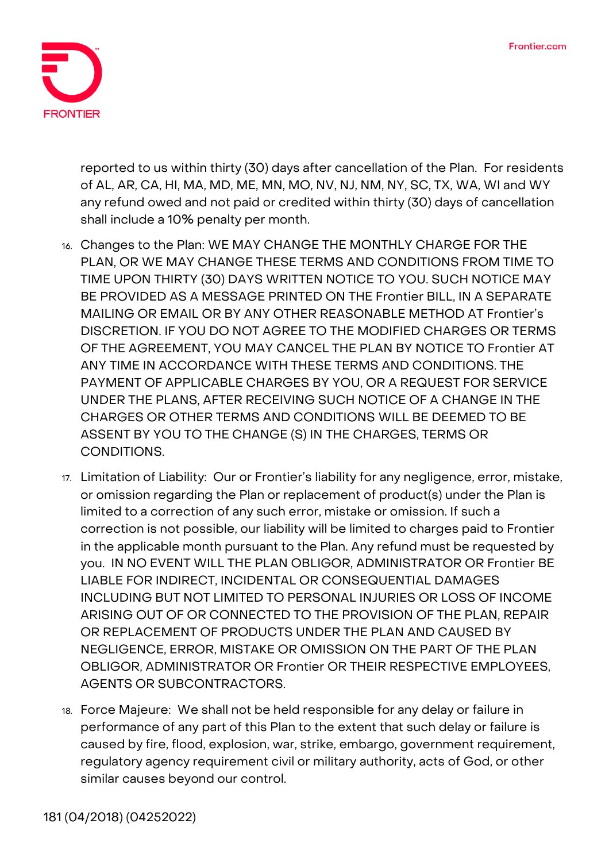

reported to us within thirty (30) days after cancellation of the Plan. For residents of AL, AR, CA, HI, MA, MD, ME, MN, MO, NV, NJ, NM, NY, SC, TX, WA, WI and WY any refund owed and not paid or credited within thirty (30) days of cancellation shall include a 10% penalty per month.

- 16. **Changes to the Plan:** WE MAY CHANGE THE MONTHLY CHARGE FOR THE PLAN, OR WE MAY CHANGE THESE TERMS AND CONDITIONS FROM TIME TO TIME UPON THIRTY (30) DAYS WRITTEN NOTICE TO YOU. SUCH NOTICE MAY BE PROVIDED AS A MESSAGE PRINTED ON THE Frontier BILL, IN A SEPARATE MAILING OR EMAIL OR BY ANY OTHER REASONABLE METHOD AT Frontier's DISCRETION. IF YOU DO NOT AGREE TO THE MODIFIED CHARGES OR TERMS OF THE AGREEMENT, YOU MAY CANCEL THE PLAN BY NOTICE TO Frontier AT ANY TIME IN ACCORDANCE WITH THESE TERMS AND CONDITIONS. THE PAYMENT OF APPLICABLE CHARGES BY YOU, OR A REQUEST FOR SERVICE UNDER THE PLANS, AFTER RECEIVING SUCH NOTICE OF A CHANGE IN THE CHARGES OR OTHER TERMS AND CONDITIONS WILL BE DEEMED TO BE ASSENT BY YOU TO THE CHANGE (S) IN THE CHARGES, TERMS OR CONDITIONS.
- 17. **Limitation of Liability:** Our or Frontier's liability for any negligence, error, mistake, or omission regarding the Plan or replacement of product(s) under the Plan is limited to a correction of any such error, mistake or omission. If such a correction is not possible, our liability will be limited to charges paid to Frontier in the applicable month pursuant to the Plan. Any refund must be requested by you. IN NO EVENT WILL THE PLAN OBLIGOR, ADMINISTRATOR OR Frontier BE LIABLE FOR INDIRECT, INCIDENTAL OR CONSEQUENTIAL DAMAGES INCLUDING BUT NOT LIMITED TO PERSONAL INJURIES OR LOSS OF INCOME ARISING OUT OF OR CONNECTED TO THE PROVISION OF THE PLAN, REPAIR OR REPLACEMENT OF PRODUCTS UNDER THE PLAN AND CAUSED BY NEGLIGENCE, ERROR, MISTAKE OR OMISSION ON THE PART OF THE PLAN OBLIGOR, ADMINISTRATOR OR Frontier OR THEIR RESPECTIVE EMPLOYEES, AGENTS OR SUBCONTRACTORS.
- 18. **Force Majeure:** We shall not be held responsible for any delay or failure in performance of any part of this Plan to the extent that such delay or failure is caused by fire, flood, explosion, war, strike, embargo, government requirement, regulatory agency requirement civil or military authority, acts of God, or other similar causes beyond our control.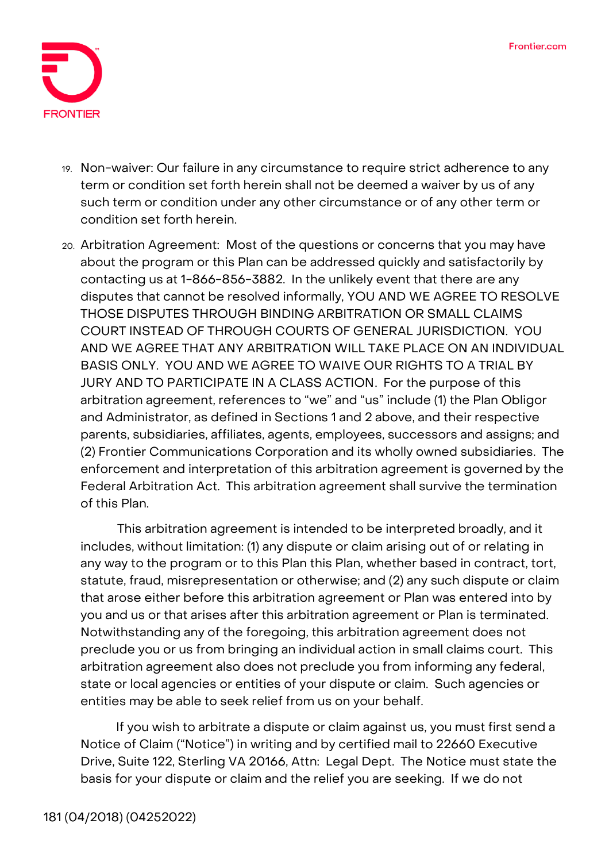

- 19. **Non-waiver:** Our failure in any circumstance to require strict adherence to any term or condition set forth herein shall not be deemed a waiver by us of any such term or condition under any other circumstance or of any other term or condition set forth herein.
- 20. **Arbitration Agreement:** Most of the questions or concerns that you may have about the program or this Plan can be addressed quickly and satisfactorily by contacting us at 1-866-856-3882. In the unlikely event that there are any disputes that cannot be resolved informally, **YOU AND WE AGREE TO RESOLVE THOSE DISPUTES THROUGH BINDING ARBITRATION OR SMALL CLAIMS COURT INSTEAD OF THROUGH COURTS OF GENERAL JURISDICTION. YOU AND WE AGREE THAT ANY ARBITRATION WILL TAKE PLACE ON AN INDIVIDUAL BASIS ONLY. YOU AND WE AGREE TO WAIVE OUR RIGHTS TO A TRIAL BY JURY AND TO PARTICIPATE IN A CLASS ACTION**. For the purpose of this arbitration agreement, references to "we" and "us" include (1) the Plan Obligor and Administrator, as defined in Sections 1 and 2 above, and their respective parents, subsidiaries, affiliates, agents, employees, successors and assigns; and (2) Frontier Communications Corporation and its wholly owned subsidiaries. The enforcement and interpretation of this arbitration agreement is governed by the Federal Arbitration Act. This arbitration agreement shall survive the termination of this Plan.

This arbitration agreement is intended to be interpreted broadly, and it includes, without limitation: (1) any dispute or claim arising out of or relating in any way to the program or to this Plan this Plan, whether based in contract, tort, statute, fraud, misrepresentation or otherwise; and (2) any such dispute or claim that arose either before this arbitration agreement or Plan was entered into by you and us or that arises after this arbitration agreement or Plan is terminated. Notwithstanding any of the foregoing, this arbitration agreement does not preclude you or us from bringing an individual action in small claims court. This arbitration agreement also does not preclude you from informing any federal, state or local agencies or entities of your dispute or claim. Such agencies or entities may be able to seek relief from us on your behalf.

If you wish to arbitrate a dispute or claim against us, you must first send a Notice of Claim ("Notice") in writing and by certified mail to 22660 Executive Drive, Suite 122, Sterling VA 20166, Attn: Legal Dept. The Notice must state the basis for your dispute or claim and the relief you are seeking. If we do not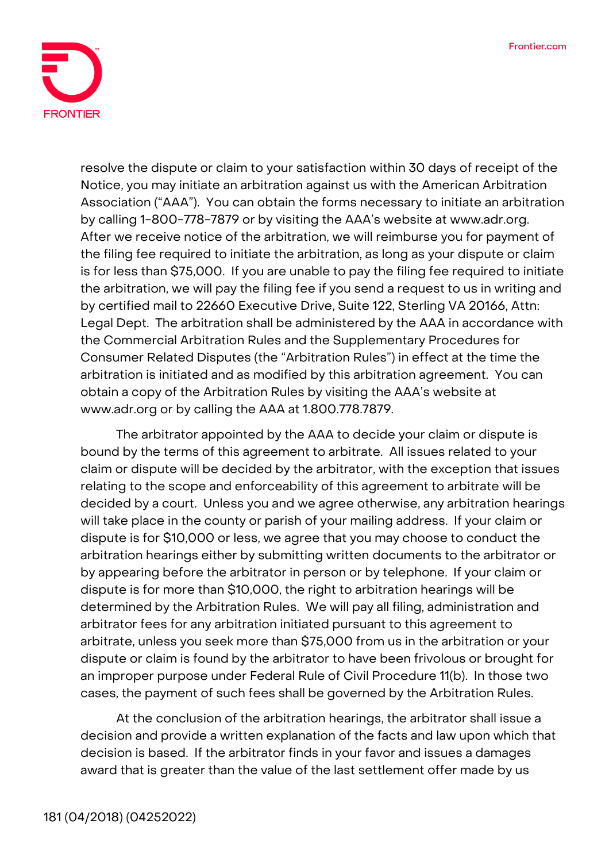

resolve the dispute or claim to your satisfaction within 30 days of receipt of the Notice, you may initiate an arbitration against us with the American Arbitration Association ("AAA"). You can obtain the forms necessary to initiate an arbitration by calling 1-800-778-7879 or by visiting the AAA's website at www.adr.org. After we receive notice of the arbitration, we will reimburse you for payment of the filing fee required to initiate the arbitration, as long as your dispute or claim is for less than \$75,000. If you are unable to pay the filing fee required to initiate the arbitration, we will pay the filing fee if you send a request to us in writing and by certified mail to 22660 Executive Drive, Suite 122, Sterling VA 20166, Attn: Legal Dept. The arbitration shall be administered by the AAA in accordance with the Commercial Arbitration Rules and the Supplementary Procedures for Consumer Related Disputes (the "Arbitration Rules") in effect at the time the arbitration is initiated and as modified by this arbitration agreement. You can obtain a copy of the Arbitration Rules by visiting the AAA's website at www.adr.org or by calling the AAA at 1.800.778.7879.

The arbitrator appointed by the AAA to decide your claim or dispute is bound by the terms of this agreement to arbitrate. All issues related to your claim or dispute will be decided by the arbitrator, with the exception that issues relating to the scope and enforceability of this agreement to arbitrate will be decided by a court. Unless you and we agree otherwise, any arbitration hearings will take place in the county or parish of your mailing address. If your claim or dispute is for \$10,000 or less, we agree that you may choose to conduct the arbitration hearings either by submitting written documents to the arbitrator or by appearing before the arbitrator in person or by telephone. If your claim or dispute is for more than \$10,000, the right to arbitration hearings will be determined by the Arbitration Rules. We will pay all filing, administration and arbitrator fees for any arbitration initiated pursuant to this agreement to arbitrate, unless you seek more than \$75,000 from us in the arbitration or your dispute or claim is found by the arbitrator to have been frivolous or brought for an improper purpose under Federal Rule of Civil Procedure 11(b). In those two cases, the payment of such fees shall be governed by the Arbitration Rules.

At the conclusion of the arbitration hearings, the arbitrator shall issue a decision and provide a written explanation of the facts and law upon which that decision is based. If the arbitrator finds in your favor and issues a damages award that is greater than the value of the last settlement offer made by us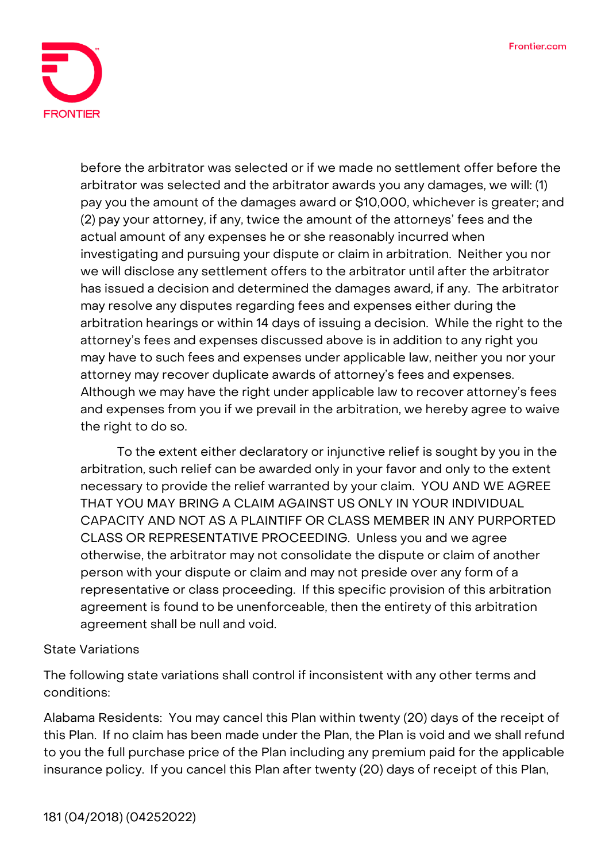

before the arbitrator was selected or if we made no settlement offer before the arbitrator was selected and the arbitrator awards you any damages, we will: (1) pay you the amount of the damages award or \$10,000, whichever is greater; and (2) pay your attorney, if any, twice the amount of the attorneys' fees and the actual amount of any expenses he or she reasonably incurred when investigating and pursuing your dispute or claim in arbitration. Neither you nor we will disclose any settlement offers to the arbitrator until after the arbitrator has issued a decision and determined the damages award, if any. The arbitrator may resolve any disputes regarding fees and expenses either during the arbitration hearings or within 14 days of issuing a decision. While the right to the attorney's fees and expenses discussed above is in addition to any right you may have to such fees and expenses under applicable law, neither you nor your attorney may recover duplicate awards of attorney's fees and expenses. Although we may have the right under applicable law to recover attorney's fees and expenses from you if we prevail in the arbitration, we hereby agree to waive the right to do so.

To the extent either declaratory or injunctive relief is sought by you in the arbitration, such relief can be awarded only in your favor and only to the extent necessary to provide the relief warranted by your claim. **YOU AND WE AGREE THAT YOU MAY BRING A CLAIM AGAINST US ONLY IN YOUR INDIVIDUAL CAPACITY AND NOT AS A PLAINTIFF OR CLASS MEMBER IN ANY PURPORTED CLASS OR REPRESENTATIVE PROCEEDING.** Unless you and we agree otherwise, the arbitrator may not consolidate the dispute or claim of another person with your dispute or claim and may not preside over any form of a representative or class proceeding. If this specific provision of this arbitration agreement is found to be unenforceable, then the entirety of this arbitration agreement shall be null and void.

## **State Variations**

The following state variations shall control if inconsistent with any other terms and conditions:

**Alabama Residents:** You may cancel this Plan within twenty (20) days of the receipt of this Plan. If no claim has been made under the Plan, the Plan is void and we shall refund to you the full purchase price of the Plan including any premium paid for the applicable insurance policy. If you cancel this Plan after twenty (20) days of receipt of this Plan,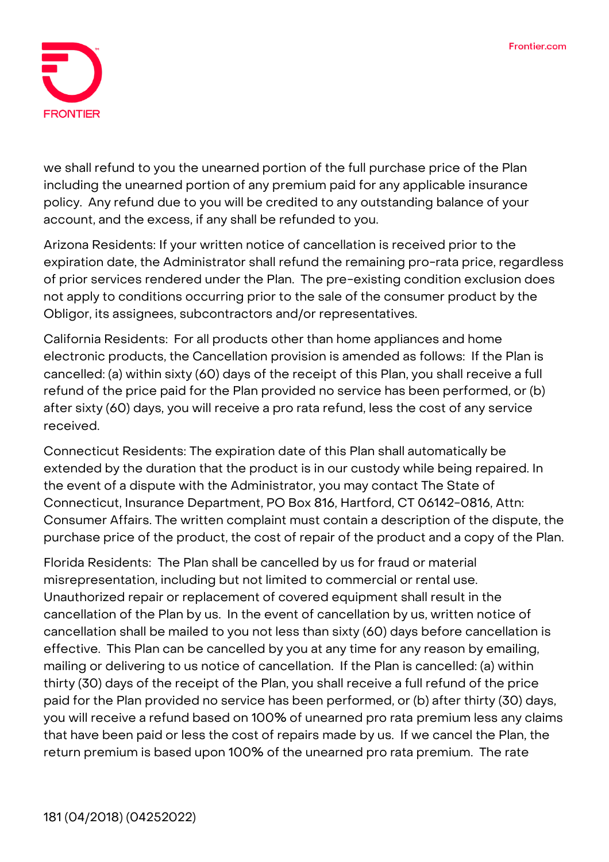

we shall refund to you the unearned portion of the full purchase price of the Plan including the unearned portion of any premium paid for any applicable insurance policy. Any refund due to you will be credited to any outstanding balance of your account, and the excess, if any shall be refunded to you.

**Arizona Residents:** If your written notice of cancellation is received prior to the expiration date, the Administrator shall refund the remaining pro-rata price, regardless of prior services rendered under the Plan. The pre-existing condition exclusion does not apply to conditions occurring prior to the sale of the consumer product by the Obligor, its assignees, subcontractors and/or representatives.

**California Residents:** For all products other than home appliances and home electronic products, the Cancellation provision is amended as follows: If the Plan is cancelled: (a) within sixty (60) days of the receipt of this Plan, you shall receive a full refund of the price paid for the Plan provided no service has been performed, or (b) after sixty (60) days, you will receive a pro rata refund, less the cost of any service received.

**Connecticut Residents:** The expiration date of this Plan shall automatically be extended by the duration that the product is in our custody while being repaired. In the event of a dispute with the Administrator, you may contact The State of Connecticut, Insurance Department, PO Box 816, Hartford, CT 06142-0816, Attn: Consumer Affairs. The written complaint must contain a description of the dispute, the purchase price of the product, the cost of repair of the product and a copy of the Plan.

**Florida Residents:** The Plan shall be cancelled by us for fraud or material misrepresentation, including but not limited to commercial or rental use. Unauthorized repair or replacement of covered equipment shall result in the cancellation of the Plan by us. In the event of cancellation by us, written notice of cancellation shall be mailed to you not less than sixty (60) days before cancellation is effective. This Plan can be cancelled by you at any time for any reason by emailing, mailing or delivering to us notice of cancellation. If the Plan is cancelled: (a) within thirty (30) days of the receipt of the Plan, you shall receive a full refund of the price paid for the Plan provided no service has been performed, or (b) after thirty (30) days, you will receive a refund based on 100% of unearned pro rata premium less any claims that have been paid or less the cost of repairs made by us. If we cancel the Plan, the return premium is based upon 100% of the unearned pro rata premium. The rate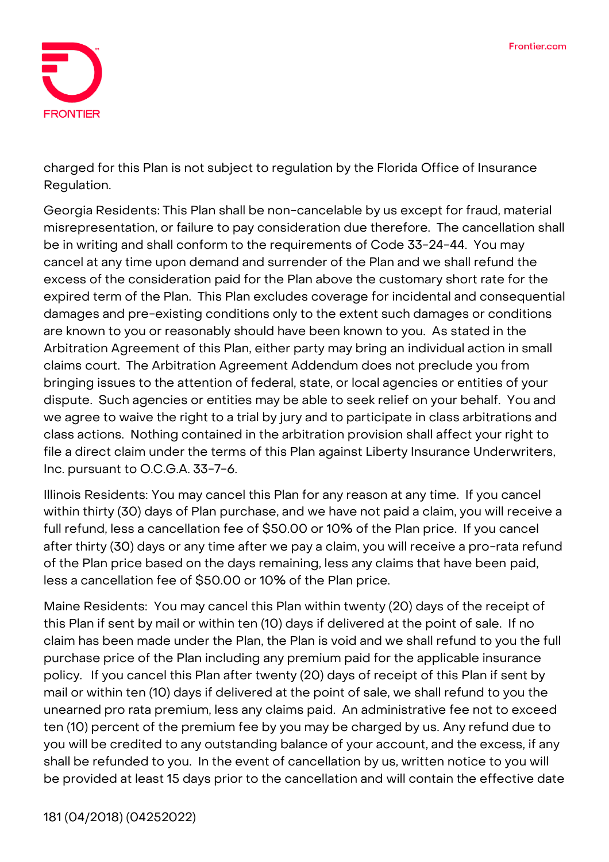

charged for this Plan is not subject to regulation by the Florida Office of Insurance Regulation.

**Georgia Residents:** This Plan shall be non-cancelable by us except for fraud, material misrepresentation, or failure to pay consideration due therefore. The cancellation shall be in writing and shall conform to the requirements of Code 33-24-44. You may cancel at any time upon demand and surrender of the Plan and we shall refund the excess of the consideration paid for the Plan above the customary short rate for the expired term of the Plan. This Plan excludes coverage for incidental and consequential damages and pre-existing conditions only to the extent such damages or conditions are known to you or reasonably should have been known to you. As stated in the Arbitration Agreement of this Plan, either party may bring an individual action in small claims court. The Arbitration Agreement Addendum does not preclude you from bringing issues to the attention of federal, state, or local agencies or entities of your dispute. Such agencies or entities may be able to seek relief on your behalf. You and we agree to waive the right to a trial by jury and to participate in class arbitrations and class actions. Nothing contained in the arbitration provision shall affect your right to file a direct claim under the terms of this Plan against Liberty Insurance Underwriters, Inc. pursuant to O.C.G.A. 33-7-6.

**Illinois Residents:** You may cancel this Plan for any reason at any time. If you cancel within thirty (30) days of Plan purchase, and we have not paid a claim, you will receive a full refund, less a cancellation fee of \$50.00 or 10% of the Plan price. If you cancel after thirty (30) days or any time after we pay a claim, you will receive a pro-rata refund of the Plan price based on the days remaining, less any claims that have been paid, less a cancellation fee of \$50.00 or 10% of the Plan price.

**Maine Residents:** You may cancel this Plan within twenty (20) days of the receipt of this Plan if sent by mail or within ten (10) days if delivered at the point of sale. If no claim has been made under the Plan, the Plan is void and we shall refund to you the full purchase price of the Plan including any premium paid for the applicable insurance policy. If you cancel this Plan after twenty (20) days of receipt of this Plan if sent by mail or within ten (10) days if delivered at the point of sale, we shall refund to you the unearned pro rata premium, less any claims paid. An administrative fee not to exceed ten (10) percent of the premium fee by you may be charged by us. Any refund due to you will be credited to any outstanding balance of your account, and the excess, if any shall be refunded to you. In the event of cancellation by us, written notice to you will be provided at least 15 days prior to the cancellation and will contain the effective date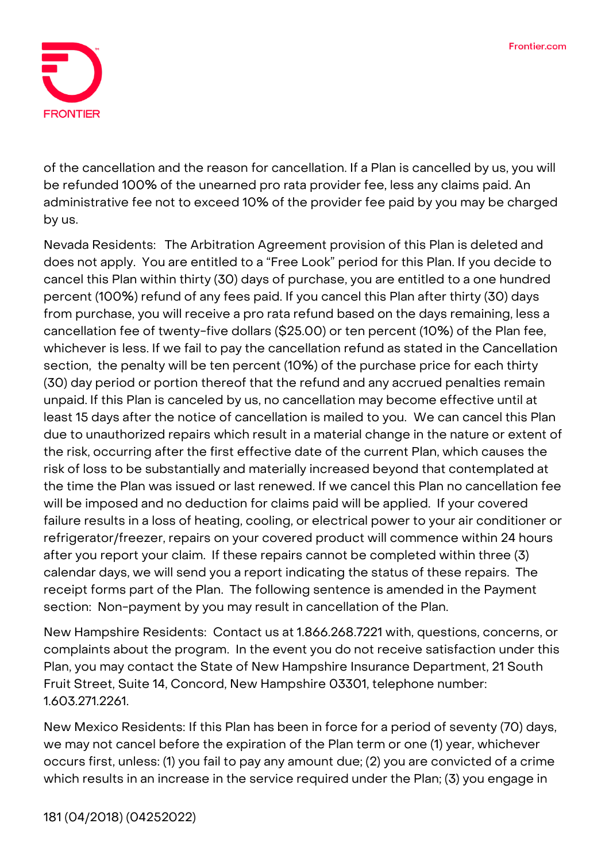

of the cancellation and the reason for cancellation. If a Plan is cancelled by us, you will be refunded 100% of the unearned pro rata provider fee, less any claims paid. An administrative fee not to exceed 10% of the provider fee paid by you may be charged by us.

**Nevada Residents:** The Arbitration Agreement provision of this Plan is deleted and does not apply. You are entitled to a "Free Look" period for this Plan. If you decide to cancel this Plan within thirty (30) days of purchase, you are entitled to a one hundred percent (100%) refund of any fees paid. If you cancel this Plan after thirty (30) days from purchase, you will receive a pro rata refund based on the days remaining, less a cancellation fee of twenty-five dollars (\$25.00) or ten percent (10%) of the Plan fee, whichever is less. If we fail to pay the cancellation refund as stated in the Cancellation section, the penalty will be ten percent (10%) of the purchase price for each thirty (30) day period or portion thereof that the refund and any accrued penalties remain unpaid. If this Plan is canceled by us, no cancellation may become effective until at least 15 days after the notice of cancellation is mailed to you. We can cancel this Plan due to unauthorized repairs which result in a material change in the nature or extent of the risk, occurring after the first effective date of the current Plan, which causes the risk of loss to be substantially and materially increased beyond that contemplated at the time the Plan was issued or last renewed. If we cancel this Plan no cancellation fee will be imposed and no deduction for claims paid will be applied. If your covered failure results in a loss of heating, cooling, or electrical power to your air conditioner or refrigerator/freezer, repairs on your covered product will commence within 24 hours after you report your claim. If these repairs cannot be completed within three (3) calendar days, we will send you a report indicating the status of these repairs. The receipt forms part of the Plan. The following sentence is amended in the Payment section: Non-payment by you may result in cancellation of the Plan.

**New Hampshire Residents:** Contact us at 1.866.268.7221 with, questions, concerns, or complaints about the program. In the event you do not receive satisfaction under this Plan, you may contact the State of New Hampshire Insurance Department, 21 South Fruit Street, Suite 14, Concord, New Hampshire 03301, telephone number: 1.603.271.2261.

**New Mexico Residents:** If this Plan has been in force for a period of seventy (70) days, we may not cancel before the expiration of the Plan term or one (1) year, whichever occurs first, unless: (1) you fail to pay any amount due; (2) you are convicted of a crime which results in an increase in the service required under the Plan; (3) you engage in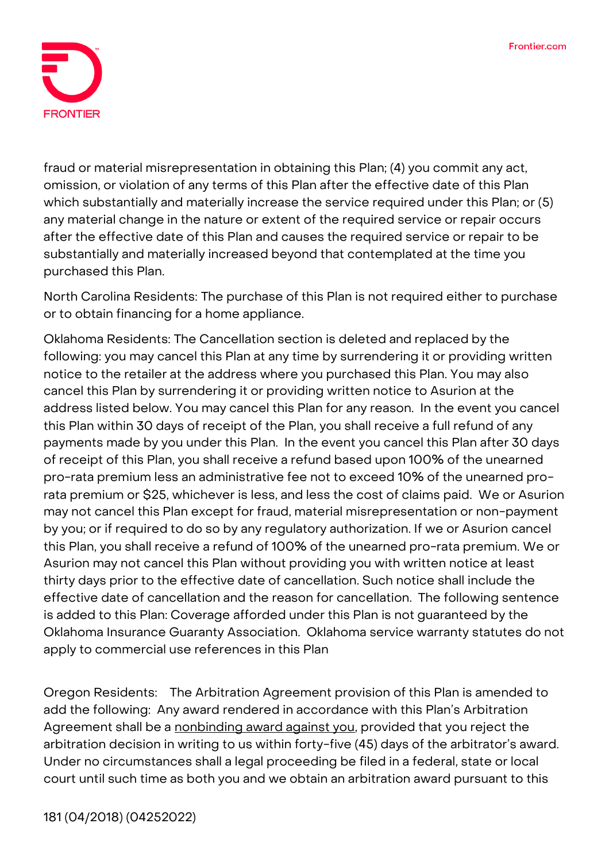

fraud or material misrepresentation in obtaining this Plan; (4) you commit any act, omission, or violation of any terms of this Plan after the effective date of this Plan which substantially and materially increase the service required under this Plan; or (5) any material change in the nature or extent of the required service or repair occurs after the effective date of this Plan and causes the required service or repair to be substantially and materially increased beyond that contemplated at the time you purchased this Plan.

**North Carolina Residents:** The purchase of this Plan is not required either to purchase or to obtain financing for a home appliance.

**Oklahoma Residents:** The Cancellation section is deleted and replaced by the following: you may cancel this Plan at any time by surrendering it or providing written notice to the retailer at the address where you purchased this Plan. You may also cancel this Plan by surrendering it or providing written notice to Asurion at the address listed below. You may cancel this Plan for any reason. In the event you cancel this Plan within 30 days of receipt of the Plan, you shall receive a full refund of any payments made by you under this Plan. In the event you cancel this Plan after 30 days of receipt of this Plan, you shall receive a refund based upon 100% of the unearned pro-rata premium less an administrative fee not to exceed 10% of the unearned prorata premium or \$25, whichever is less, and less the cost of claims paid. We or Asurion may not cancel this Plan except for fraud, material misrepresentation or non-payment by you; or if required to do so by any regulatory authorization. If we or Asurion cancel this Plan, you shall receive a refund of 100% of the unearned pro-rata premium. We or Asurion may not cancel this Plan without providing you with written notice at least thirty days prior to the effective date of cancellation. Such notice shall include the effective date of cancellation and the reason for cancellation. The following sentence is added to this Plan: Coverage afforded under this Plan is not guaranteed by the Oklahoma Insurance Guaranty Association. Oklahoma service warranty statutes do not apply to commercial use references in this Plan

**Oregon Residents:** The Arbitration Agreement provision of this Plan is amended to add the following: **Any award rendered in accordance with this Plan's Arbitration Agreement shall be a nonbinding award against you,** provided that you reject the arbitration decision in writing to us within forty-five (45) days of the arbitrator's award. Under no circumstances shall a legal proceeding be filed in a federal, state or local court until such time as both you and we obtain an arbitration award pursuant to this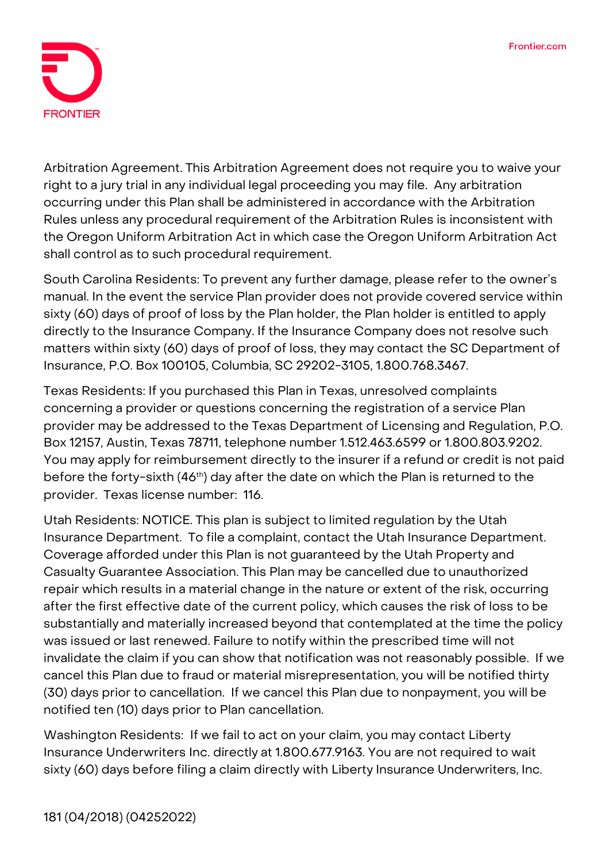

Arbitration Agreement. This Arbitration Agreement does not require you to waive your right to a jury trial in any individual legal proceeding you may file. Any arbitration occurring under this Plan shall be administered in accordance with the Arbitration Rules unless any procedural requirement of the Arbitration Rules is inconsistent with the Oregon Uniform Arbitration Act in which case the Oregon Uniform Arbitration Act shall control as to such procedural requirement.

**South Carolina Residents:** To prevent any further damage, please refer to the owner's manual. In the event the service Plan provider does not provide covered service within sixty (60) days of proof of loss by the Plan holder, the Plan holder is entitled to apply directly to the Insurance Company. If the Insurance Company does not resolve such matters within sixty (60) days of proof of loss, they may contact the SC Department of Insurance, P.O. Box 100105, Columbia, SC 29202-3105, 1.800.768.3467.

**Texas Residents:** If you purchased this Plan in Texas, unresolved complaints concerning a provider or questions concerning the registration of a service Plan provider may be addressed to the Texas Department of Licensing and Regulation, P.O. Box 12157, Austin, Texas 78711, telephone number 1.512.463.6599 or 1.800.803.9202. You may apply for reimbursement directly to the insurer if a refund or credit is not paid before the forty-sixth  $(46<sup>th</sup>)$  day after the date on which the Plan is returned to the provider. Texas license number: 116.

**Utah Residents: NOTICE. This plan is subject to limited regulation by the Utah Insurance Department. To file a complaint, contact the Utah Insurance Department.**  Coverage afforded under this Plan is not guaranteed by the Utah Property and Casualty Guarantee Association. This Plan may be cancelled due to unauthorized repair which results in a material change in the nature or extent of the risk, occurring after the first effective date of the current policy, which causes the risk of loss to be substantially and materially increased beyond that contemplated at the time the policy was issued or last renewed. Failure to notify within the prescribed time will not invalidate the claim if you can show that notification was not reasonably possible. If we cancel this Plan due to fraud or material misrepresentation, you will be notified thirty (30) days prior to cancellation. If we cancel this Plan due to nonpayment, you will be notified ten (10) days prior to Plan cancellation.

**Washington Residents:** If we fail to act on your claim, you may contact Liberty Insurance Underwriters Inc. directly at 1.800.677.9163. You are not required to wait sixty (60) days before filing a claim directly with Liberty Insurance Underwriters, Inc.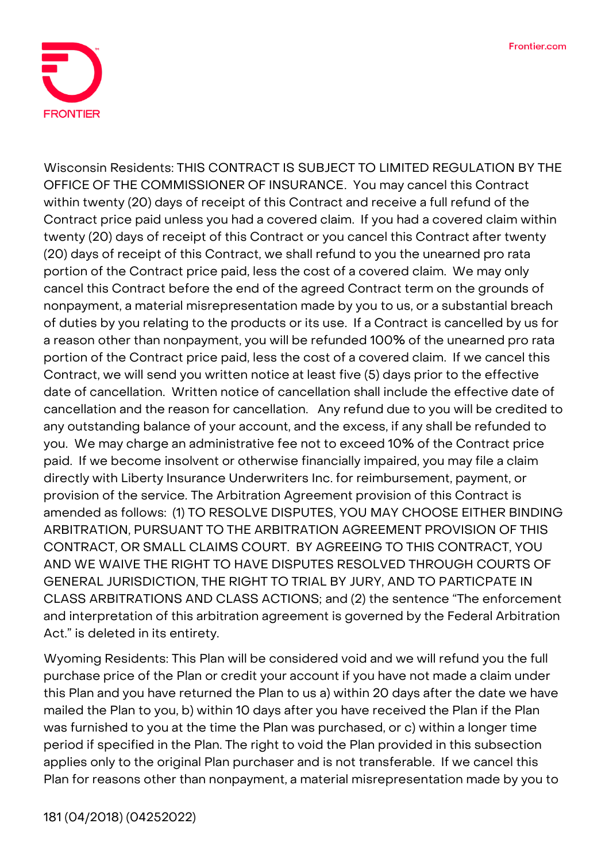

**Wisconsin Residents: THIS CONTRACT IS SUBJECT TO LIMITED REGULATION BY THE OFFICE OF THE COMMISSIONER OF INSURANCE**. You may cancel this Contract within twenty (20) days of receipt of this Contract and receive a full refund of the Contract price paid unless you had a covered claim. If you had a covered claim within twenty (20) days of receipt of this Contract or you cancel this Contract after twenty (20) days of receipt of this Contract, we shall refund to you the unearned pro rata portion of the Contract price paid, less the cost of a covered claim. We may only cancel this Contract before the end of the agreed Contract term on the grounds of nonpayment, a material misrepresentation made by you to us, or a substantial breach of duties by you relating to the products or its use. If a Contract is cancelled by us for a reason other than nonpayment, you will be refunded 100% of the unearned pro rata portion of the Contract price paid, less the cost of a covered claim. If we cancel this Contract, we will send you written notice at least five (5) days prior to the effective date of cancellation. Written notice of cancellation shall include the effective date of cancellation and the reason for cancellation. Any refund due to you will be credited to any outstanding balance of your account, and the excess, if any shall be refunded to you. We may charge an administrative fee not to exceed 10% of the Contract price paid. If we become insolvent or otherwise financially impaired, you may file a claim directly with Liberty Insurance Underwriters Inc. for reimbursement, payment, or provision of the service. The Arbitration Agreement provision of this Contract is amended as follows: **(1) TO RESOLVE DISPUTES, YOU MAY CHOOSE EITHER BINDING ARBITRATION, PURSUANT TO THE ARBITRATION AGREEMENT PROVISION OF THIS CONTRACT, OR SMALL CLAIMS COURT. BY AGREEING TO THIS CONTRACT, YOU AND WE WAIVE THE RIGHT TO HAVE DISPUTES RESOLVED THROUGH COURTS OF GENERAL JURISDICTION, THE RIGHT TO TRIAL BY JURY, AND TO PARTICPATE IN CLASS ARBITRATIONS AND CLASS ACTIONS;** and **(2)** the sentence "The enforcement and interpretation of this arbitration agreement is governed by the Federal Arbitration Act." is deleted in its entirety.

**Wyoming Residents:** This Plan will be considered void and we will refund you the full purchase price of the Plan or credit your account if you have not made a claim under this Plan and you have returned the Plan to us a) within 20 days after the date we have mailed the Plan to you, b) within 10 days after you have received the Plan if the Plan was furnished to you at the time the Plan was purchased, or c) within a longer time period if specified in the Plan. The right to void the Plan provided in this subsection applies only to the original Plan purchaser and is not transferable. If we cancel this Plan for reasons other than nonpayment, a material misrepresentation made by you to